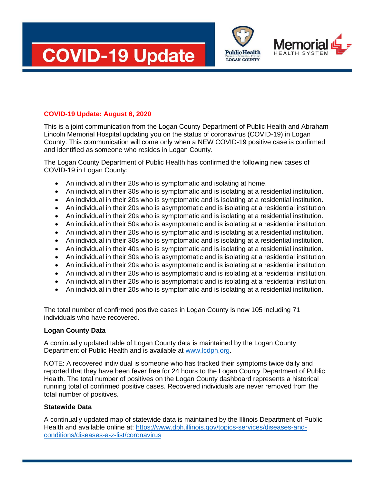



## **COVID-19 Update: August 6, 2020**

This is a joint communication from the Logan County Department of Public Health and Abraham Lincoln Memorial Hospital updating you on the status of coronavirus (COVID-19) in Logan County. This communication will come only when a NEW COVID-19 positive case is confirmed and identified as someone who resides in Logan County.

The Logan County Department of Public Health has confirmed the following new cases of COVID-19 in Logan County:

- An individual in their 20s who is symptomatic and isolating at home.
- An individual in their 30s who is symptomatic and is isolating at a residential institution.
- An individual in their 20s who is symptomatic and is isolating at a residential institution.
- An individual in their 20s who is asymptomatic and is isolating at a residential institution.
- An individual in their 20s who is symptomatic and is isolating at a residential institution.
- An individual in their 50s who is asymptomatic and is isolating at a residential institution.
- An individual in their 20s who is symptomatic and is isolating at a residential institution.
- An individual in their 30s who is symptomatic and is isolating at a residential institution.
- An individual in their 40s who is symptomatic and is isolating at a residential institution.
- An individual in their 30s who is asymptomatic and is isolating at a residential institution.
- An individual in their 20s who is asymptomatic and is isolating at a residential institution.
- An individual in their 20s who is asymptomatic and is isolating at a residential institution.
- An individual in their 20s who is asymptomatic and is isolating at a residential institution.
- An individual in their 20s who is symptomatic and is isolating at a residential institution.

The total number of confirmed positive cases in Logan County is now 105 including 71 individuals who have recovered.

## **Logan County Data**

A continually updated table of Logan County data is maintained by the Logan County Department of Public Health and is available at [www.lcdph.org.](http://www.lcdph.org/)

NOTE: A recovered individual is someone who has tracked their symptoms twice daily and reported that they have been fever free for 24 hours to the Logan County Department of Public Health. The total number of positives on the Logan County dashboard represents a historical running total of confirmed positive cases. Recovered individuals are never removed from the total number of positives.

## **Statewide Data**

A continually updated map of statewide data is maintained by the Illinois Department of Public Health and available online at: [https://www.dph.illinois.gov/topics-services/diseases-and](https://www.dph.illinois.gov/topics-services/diseases-and-conditions/diseases-a-z-list/coronavirus)[conditions/diseases-a-z-list/coronavirus](https://www.dph.illinois.gov/topics-services/diseases-and-conditions/diseases-a-z-list/coronavirus)